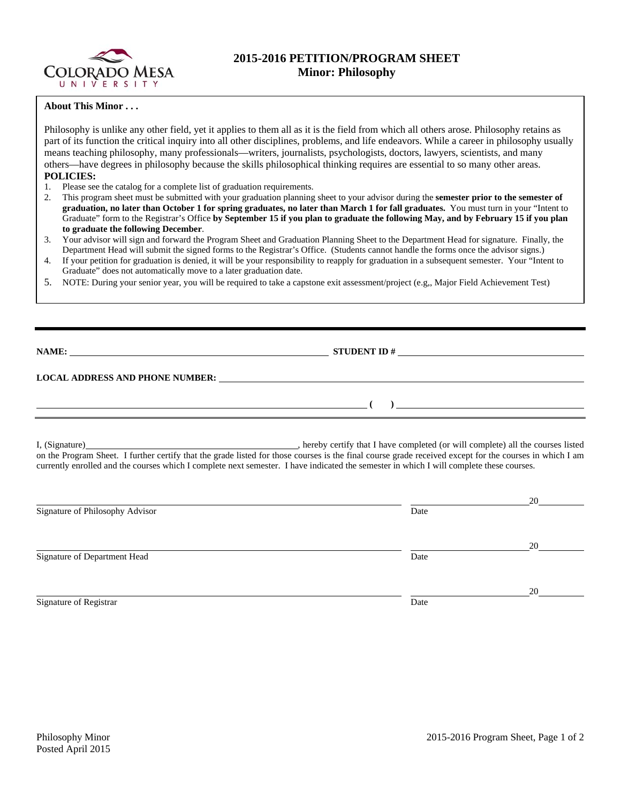

## **2015-2016 PETITION/PROGRAM SHEET Minor: Philosophy**

## **About This Minor . . .**

Philosophy is unlike any other field, yet it applies to them all as it is the field from which all others arose. Philosophy retains as part of its function the critical inquiry into all other disciplines, problems, and life endeavors. While a career in philosophy usually means teaching philosophy, many professionals—writers, journalists, psychologists, doctors, lawyers, scientists, and many others—have degrees in philosophy because the skills philosophical thinking requires are essential to so many other areas. **POLICIES:** 

- 1. Please see the catalog for a complete list of graduation requirements.
- 2. This program sheet must be submitted with your graduation planning sheet to your advisor during the **semester prior to the semester of graduation, no later than October 1 for spring graduates, no later than March 1 for fall graduates.** You must turn in your "Intent to Graduate" form to the Registrar's Office **by September 15 if you plan to graduate the following May, and by February 15 if you plan to graduate the following December**.
- 3. Your advisor will sign and forward the Program Sheet and Graduation Planning Sheet to the Department Head for signature. Finally, the Department Head will submit the signed forms to the Registrar's Office. (Students cannot handle the forms once the advisor signs.)
- 4. If your petition for graduation is denied, it will be your responsibility to reapply for graduation in a subsequent semester. Your "Intent to Graduate" does not automatically move to a later graduation date.
- 5. NOTE: During your senior year, you will be required to take a capstone exit assessment/project (e.g,, Major Field Achievement Test)

**NAME: STUDENT ID # LOCAL ADDRESS AND PHONE NUMBER:**  $( )$   $)$   $\_$ 

I, (Signature) , hereby certify that I have completed (or will complete) all the courses listed on the Program Sheet. I further certify that the grade listed for those courses is the final course grade received except for the courses in which I am currently enrolled and the courses which I complete next semester. I have indicated the semester in which I will complete these courses.

|                                 |      | 20 |
|---------------------------------|------|----|
| Signature of Philosophy Advisor | Date |    |
|                                 |      |    |
| Signature of Department Head    | Date | 20 |
|                                 |      | 20 |
| Signature of Registrar          | Date |    |